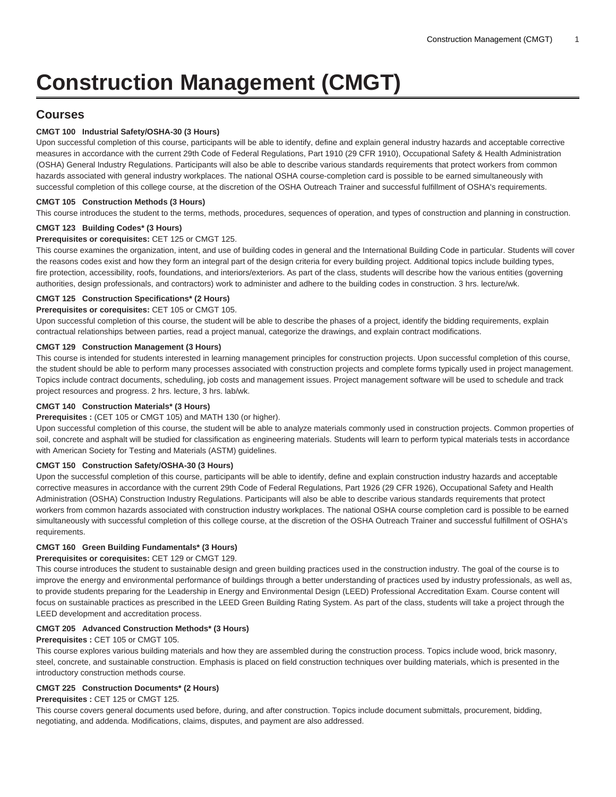# **Construction Management (CMGT)**

## **Courses**

## **CMGT 100 Industrial Safety/OSHA-30 (3 Hours)**

Upon successful completion of this course, participants will be able to identify, define and explain general industry hazards and acceptable corrective measures in accordance with the current 29th Code of Federal Regulations, Part 1910 (29 CFR 1910), Occupational Safety & Health Administration (OSHA) General Industry Regulations. Participants will also be able to describe various standards requirements that protect workers from common hazards associated with general industry workplaces. The national OSHA course-completion card is possible to be earned simultaneously with successful completion of this college course, at the discretion of the OSHA Outreach Trainer and successful fulfillment of OSHA's requirements.

## **CMGT 105 Construction Methods (3 Hours)**

This course introduces the student to the terms, methods, procedures, sequences of operation, and types of construction and planning in construction.

## **CMGT 123 Building Codes\* (3 Hours)**

## **Prerequisites or corequisites:** CET 125 or [CMGT 125](/search/?P=CMGT%20125).

This course examines the organization, intent, and use of building codes in general and the International Building Code in particular. Students will cover the reasons codes exist and how they form an integral part of the design criteria for every building project. Additional topics include building types, fire protection, accessibility, roofs, foundations, and interiors/exteriors. As part of the class, students will describe how the various entities (governing authorities, design professionals, and contractors) work to administer and adhere to the building codes in construction. 3 hrs. lecture/wk.

## **CMGT 125 Construction Specifications\* (2 Hours)**

**Prerequisites or corequisites:** CET 105 or [CMGT 105](/search/?P=CMGT%20105).

Upon successful completion of this course, the student will be able to describe the phases of a project, identify the bidding requirements, explain contractual relationships between parties, read a project manual, categorize the drawings, and explain contract modifications.

## **CMGT 129 Construction Management (3 Hours)**

This course is intended for students interested in learning management principles for construction projects. Upon successful completion of this course, the student should be able to perform many processes associated with construction projects and complete forms typically used in project management. Topics include contract documents, scheduling, job costs and management issues. Project management software will be used to schedule and track project resources and progress. 2 hrs. lecture, 3 hrs. lab/wk.

## **CMGT 140 Construction Materials\* (3 Hours)**

#### **Prerequisites :** (CET 105 or [CMGT 105\)](/search/?P=CMGT%20105) and [MATH 130](/search/?P=MATH%20130) (or higher).

Upon successful completion of this course, the student will be able to analyze materials commonly used in construction projects. Common properties of soil, concrete and asphalt will be studied for classification as engineering materials. Students will learn to perform typical materials tests in accordance with American Society for Testing and Materials (ASTM) guidelines.

## **CMGT 150 Construction Safety/OSHA-30 (3 Hours)**

Upon the successful completion of this course, participants will be able to identify, define and explain construction industry hazards and acceptable corrective measures in accordance with the current 29th Code of Federal Regulations, Part 1926 (29 CFR 1926), Occupational Safety and Health Administration (OSHA) Construction Industry Regulations. Participants will also be able to describe various standards requirements that protect workers from common hazards associated with construction industry workplaces. The national OSHA course completion card is possible to be earned simultaneously with successful completion of this college course, at the discretion of the OSHA Outreach Trainer and successful fulfillment of OSHA's requirements.

## **CMGT 160 Green Building Fundamentals\* (3 Hours)**

## **Prerequisites or corequisites:** CET 129 or [CMGT 129](/search/?P=CMGT%20129).

This course introduces the student to sustainable design and green building practices used in the construction industry. The goal of the course is to improve the energy and environmental performance of buildings through a better understanding of practices used by industry professionals, as well as, to provide students preparing for the Leadership in Energy and Environmental Design (LEED) Professional Accreditation Exam. Course content will focus on sustainable practices as prescribed in the LEED Green Building Rating System. As part of the class, students will take a project through the LEED development and accreditation process.

## **CMGT 205 Advanced Construction Methods\* (3 Hours)**

## **Prerequisites :** CET 105 or [CMGT 105](/search/?P=CMGT%20105).

This course explores various building materials and how they are assembled during the construction process. Topics include wood, brick masonry, steel, concrete, and sustainable construction. Emphasis is placed on field construction techniques over building materials, which is presented in the introductory construction methods course.

## **CMGT 225 Construction Documents\* (2 Hours)**

#### **Prerequisites :** CET 125 or [CMGT 125](/search/?P=CMGT%20125).

This course covers general documents used before, during, and after construction. Topics include document submittals, procurement, bidding, negotiating, and addenda. Modifications, claims, disputes, and payment are also addressed.